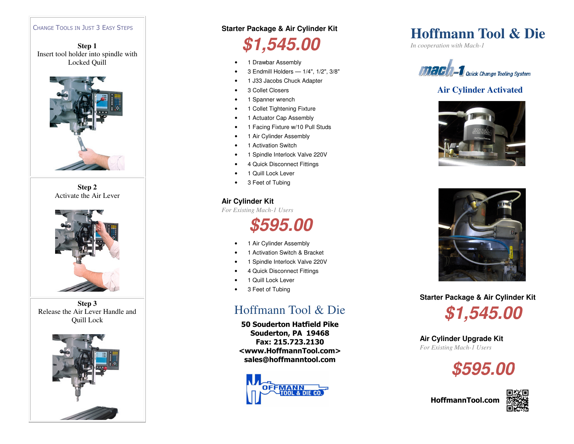#### CHANGE TOOLS IN JUST 3 EASY STEPS

**Step 1** Insert tool holder into spindle with Locked Quill



**Step 2**Activate the Air Lever



**Step 3**Release the Air Lever Handle and



#### **Starter Package & Air Cylinder Kit**

# **\$1,545.00**

- 1 Drawbar Assembly
- 3 Endmill Holders 1/4", 1/2", 3/8"
- 1 J33 Jacobs Chuck Adapter
- 3 Collet Closers
- 1 Spanner wrench
- 1 Collet Tightening Fixture
- 1 Actuator Cap Assembly
- 1 Facing Fixture w/10 Pull Studs
- 1 Air Cylinder Assembly
- 1 Activation Switch
- 1 Spindle Interlock Valve 220V
- 4 Quick Disconnect Fittings
- 1 Quill Lock Lever
- 3 Feet of Tubing

### **Air Cylinder Kit**

*For Existing Mach-1 Users* 

**\$595.00** 

- 1 Air Cylinder Assembly
- 1 Activation Switch & Bracket
- 1 Spindle Interlock Valve 220V
- 4 Quick Disconnect Fittings
- 1 Quill Lock Lever
- 3 Feet of Tubing

### Hoffmann Tool & Die

Quill Lock **CONFERGATE:** The Contract of the Souderton Hatfield Pike Souderton, PA 19468 Fax: 215.723.2130 <www.HoffmannTool.com> sales@hoffmanntool.com



## **Hoffmann Tool & Die**

*In cooperation with Mach-1* 



### **Air Cylinder Activated**





**Starter Package & Air Cylinder Kit** 



**Air Cylinder Upgrade Kit** *For Existing Mach-1 Users*